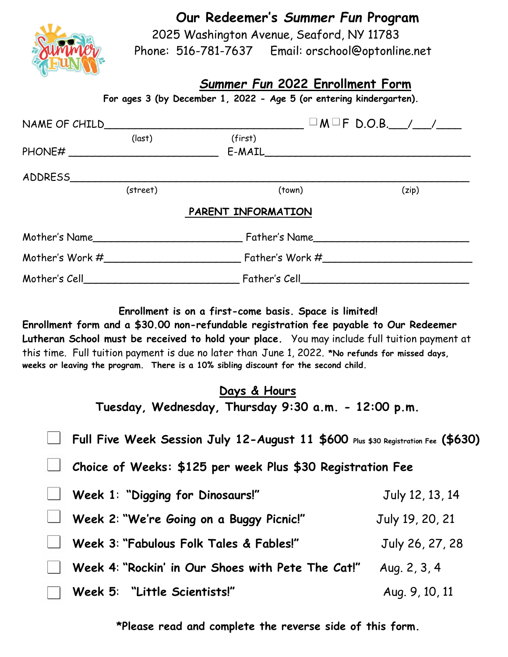**Our Redeemer's** *Summer Fun* **Program**



 2025 Washington Avenue, Seaford, NY 11783 Phone: 516-781-7637 Email: orschool@optonline.net

## *Summer Fun* **2022 Enrollment Form**

 **For ages 3 (by December 1, 2022 - Age 5 (or entering kindergarten).**

|                            |          |                    | $\Box$ M $\Box$ F D.O.B. /_/__/___                                                                                                                                                                                                                                                                                                 |  |
|----------------------------|----------|--------------------|------------------------------------------------------------------------------------------------------------------------------------------------------------------------------------------------------------------------------------------------------------------------------------------------------------------------------------|--|
|                            | (last)   | (first)            |                                                                                                                                                                                                                                                                                                                                    |  |
|                            |          |                    | $E-MAIL$                                                                                                                                                                                                                                                                                                                           |  |
|                            |          |                    |                                                                                                                                                                                                                                                                                                                                    |  |
|                            | (street) | (town)             | (zip)                                                                                                                                                                                                                                                                                                                              |  |
|                            |          | PARENT INFORMATION |                                                                                                                                                                                                                                                                                                                                    |  |
|                            |          |                    |                                                                                                                                                                                                                                                                                                                                    |  |
|                            |          |                    | Mother's Work $\#$ $\qquad \qquad$ $\qquad$ $\qquad$ $\qquad$ $\qquad$ $\qquad$ $\qquad$ $\qquad$ $\qquad$ $\qquad$ $\qquad$ $\qquad$ $\qquad$ $\qquad$ $\qquad$ $\qquad$ $\qquad$ $\qquad$ $\qquad$ $\qquad$ $\qquad$ $\qquad$ $\qquad$ $\qquad$ $\qquad$ $\qquad$ $\qquad$ $\qquad$ $\qquad$ $\qquad$ $\qquad$ $\qquad$ $\qquad$ |  |
| Mother's Cell_____________ |          |                    |                                                                                                                                                                                                                                                                                                                                    |  |

**Enrollment is on a first-come basis. Space is limited!** 

**Enrollment form and a \$30.00 non-refundable registration fee payable to Our Redeemer Lutheran School must be received to hold your place.** You may include full tuition payment at this time. Full tuition payment is due no later than June 1, 2022. **\*No refunds for missed days, weeks or leaving the program. There is a 10% sibling discount for the second child.**

| Days & Hours<br>Tuesday, Wednesday, Thursday 9:30 a.m. - 12:00 p.m.               |                 |  |  |  |
|-----------------------------------------------------------------------------------|-----------------|--|--|--|
| Full Five Week Session July 12-August 11 \$600 Plus \$30 Registration Fee (\$630) |                 |  |  |  |
| Choice of Weeks: \$125 per week Plus \$30 Registration Fee                        |                 |  |  |  |
| Week 1: "Digging for Dinosaurs!"                                                  | July 12, 13, 14 |  |  |  |
| Week 2: "We're Going on a Buggy Picnic!"                                          | July 19, 20, 21 |  |  |  |
| Week 3: "Fabulous Folk Tales & Fables!"                                           | July 26, 27, 28 |  |  |  |
| Week 4: "Rockin' in Our Shoes with Pete The Cat!"                                 | Aug. 2, 3, 4    |  |  |  |
| Week 5: "Little Scientists!"                                                      | Aug. 9, 10, 11  |  |  |  |

**\*Please read and complete the reverse side of this form.**